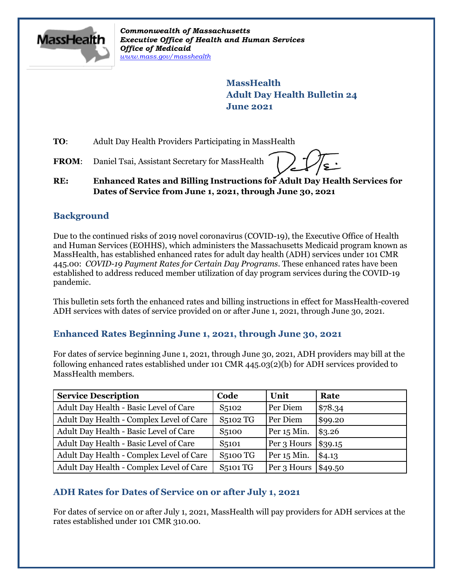

*Commonwealth of Massachusetts Executive Office of Health and Human Services Office of Medicaid [www.mass.gov/masshealth](http://www.mass.gov/masshealth)*

> **MassHealth Adult Day Health Bulletin 24 June 2021**

**TO**: Adult Day Health Providers Participating in MassHealth

FROM: Daniel Tsai, Assistant Secretary for MassHealth

### **RE: Enhanced Rates and Billing Instructions for Adult Day Health Services for Dates of Service from June 1, 2021, through June 30, 2021**

# **Background**

Due to the continued risks of 2019 novel coronavirus (COVID-19), the Executive Office of Health and Human Services (EOHHS), which administers the Massachusetts Medicaid program known as MassHealth, has established enhanced rates for adult day health (ADH) services under 101 CMR 445.00: *COVID-19 Payment Rates for Certain Day Programs*. These enhanced rates have been established to address reduced member utilization of day program services during the COVID-19 pandemic.

This bulletin sets forth the enhanced rates and billing instructions in effect for MassHealth-covered ADH services with dates of service provided on or after June 1, 2021, through June 30, 2021.

# **Enhanced Rates Beginning June 1, 2021, through June 30, 2021**

For dates of service beginning June 1, 2021, through June 30, 2021, ADH providers may bill at the following enhanced rates established under 101 CMR 445.03(2)(b) for ADH services provided to MassHealth members.

| <b>Service Description</b>               | Code               | Unit        | Rate    |
|------------------------------------------|--------------------|-------------|---------|
| Adult Day Health - Basic Level of Care   | S <sub>5102</sub>  | Per Diem    | \$78.34 |
| Adult Day Health - Complex Level of Care | S5102 TG           | Per Diem    | \$99.20 |
| Adult Day Health - Basic Level of Care   | S <sub>5100</sub>  | Per 15 Min. | \$3.26  |
| Adult Day Health - Basic Level of Care   | S <sub>5</sub> 101 | Per 3 Hours | \$39.15 |
| Adult Day Health - Complex Level of Care | <b>S5100 TG</b>    | Per 15 Min. | \$4.13  |
| Adult Day Health - Complex Level of Care | <b>S5101 TG</b>    | Per 3 Hours | \$49.50 |

# **ADH Rates for Dates of Service on or after July 1, 2021**

For dates of service on or after July 1, 2021, MassHealth will pay providers for ADH services at the rates established under 101 CMR 310.00.